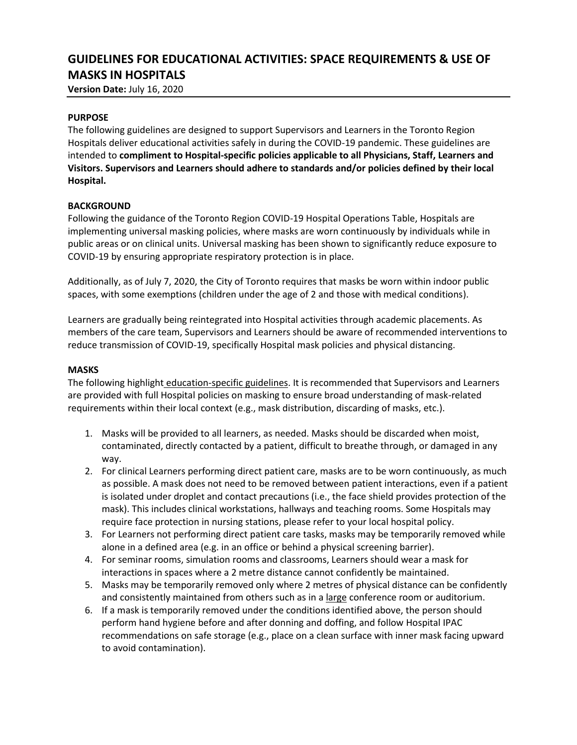# **GUIDELINES FOR EDUCATIONAL ACTIVITIES: SPACE REQUIREMENTS & USE OF MASKS IN HOSPITALS**

**Version Date:** July 16, 2020

## **PURPOSE**

The following guidelines are designed to support Supervisors and Learners in the Toronto Region Hospitals deliver educational activities safely in during the COVID-19 pandemic. These guidelines are intended to **compliment to Hospital-specific policies applicable to all Physicians, Staff, Learners and Visitors. Supervisors and Learners should adhere to standards and/or policies defined by their local Hospital.**

### **BACKGROUND**

Following the guidance of the Toronto Region COVID-19 Hospital Operations Table, Hospitals are implementing universal masking policies, where masks are worn continuously by individuals while in public areas or on clinical units. Universal masking has been shown to significantly reduce exposure to COVID-19 by ensuring appropriate respiratory protection is in place.

Additionally, as of July 7, 2020, the City of Toronto requires that masks be worn within indoor public spaces, with some exemptions (children under the age of 2 and those with medical conditions).

Learners are gradually being reintegrated into Hospital activities through academic placements. As members of the care team, Supervisors and Learners should be aware of recommended interventions to reduce transmission of COVID-19, specifically Hospital mask policies and physical distancing.

#### **MASKS**

The following highlight education-specific guidelines. It is recommended that Supervisors and Learners are provided with full Hospital policies on masking to ensure broad understanding of mask-related requirements within their local context (e.g., mask distribution, discarding of masks, etc.).

- 1. Masks will be provided to all learners, as needed. Masks should be discarded when moist, contaminated, directly contacted by a patient, difficult to breathe through, or damaged in any way.
- 2. For clinical Learners performing direct patient care, masks are to be worn continuously, as much as possible. A mask does not need to be removed between patient interactions, even if a patient is isolated under droplet and contact precautions (i.e., the face shield provides protection of the mask). This includes clinical workstations, hallways and teaching rooms. Some Hospitals may require face protection in nursing stations, please refer to your local hospital policy.
- 3. For Learners not performing direct patient care tasks, masks may be temporarily removed while alone in a defined area (e.g. in an office or behind a physical screening barrier).
- 4. For seminar rooms, simulation rooms and classrooms, Learners should wear a mask for interactions in spaces where a 2 metre distance cannot confidently be maintained.
- 5. Masks may be temporarily removed only where 2 metres of physical distance can be confidently and consistently maintained from others such as in a large conference room or auditorium.
- 6. If a mask is temporarily removed under the conditions identified above, the person should perform hand hygiene before and after donning and doffing, and follow Hospital IPAC recommendations on safe storage (e.g., place on a clean surface with inner mask facing upward to avoid contamination).